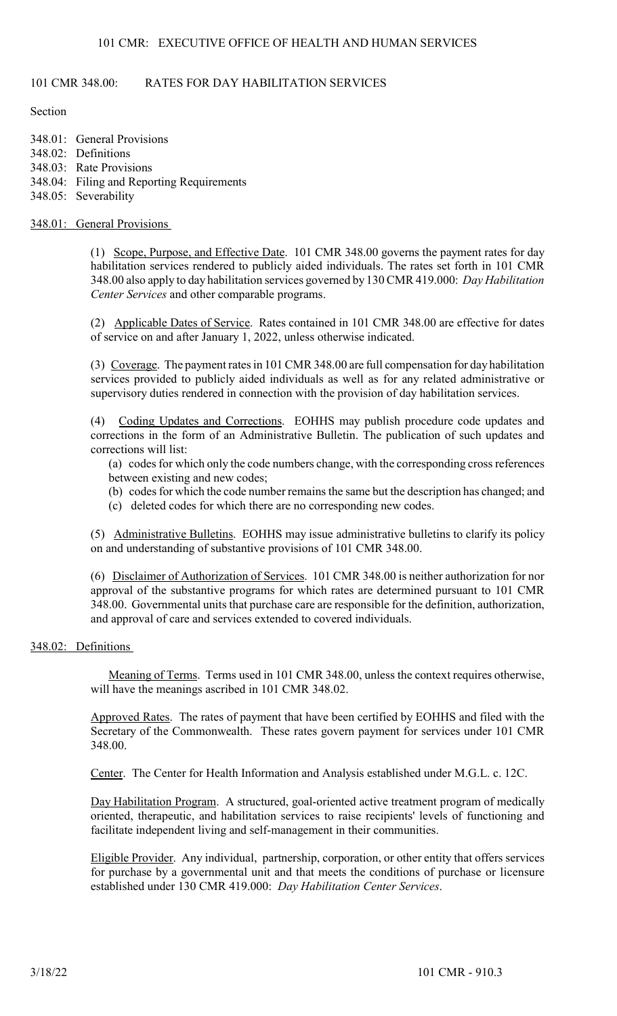# 101 CMR 348.00: RATES FOR DAY HABILITATION SERVICES

#### **Section**

348.01: General Provisions 348.02: Definitions 348.03: Rate Provisions 348.04: Filing and Reporting Requirements 348.05: Severability

#### 348.01: General Provisions

(1) Scope, Purpose, and Effective Date. 101 CMR 348.00 governs the payment rates for day habilitation services rendered to publicly aided individuals. The rates set forth in 101 CMR 348.00 also apply to day habilitation services governed by 130 CMR 419.000: Day Habilitation Center Services and other comparable programs.

(2) Applicable Dates of Service. Rates contained in 101 CMR 348.00 are effective for dates of service on and after January 1, 2022, unless otherwise indicated.

(3) Coverage. The payment rates in 101 CMR 348.00 are full compensation for day habilitation services provided to publicly aided individuals as well as for any related administrative or supervisory duties rendered in connection with the provision of day habilitation services.

(4) Coding Updates and Corrections. EOHHS may publish procedure code updates and corrections in the form of an Administrative Bulletin. The publication of such updates and corrections will list:

(a) codes for which only the code numbers change, with the corresponding cross references between existing and new codes;

- (b) codes for which the code number remains the same but the description has changed; and
- (c) deleted codes for which there are no corresponding new codes.

(5) Administrative Bulletins. EOHHS may issue administrative bulletins to clarify its policy on and understanding of substantive provisions of 101 CMR 348.00.

(6) Disclaimer of Authorization of Services. 101 CMR 348.00 is neither authorization for nor approval of the substantive programs for which rates are determined pursuant to 101 CMR 348.00. Governmental units that purchase care are responsible for the definition, authorization, and approval of care and services extended to covered individuals.

#### 348.02: Definitions

Meaning of Terms. Terms used in 101 CMR 348.00, unless the context requires otherwise, will have the meanings ascribed in 101 CMR 348.02.

Approved Rates. The rates of payment that have been certified by EOHHS and filed with the Secretary of the Commonwealth. These rates govern payment for services under 101 CMR 348.00.

Center. The Center for Health Information and Analysis established under M.G.L. c. 12C.

Day Habilitation Program. A structured, goal-oriented active treatment program of medically oriented, therapeutic, and habilitation services to raise recipients' levels of functioning and facilitate independent living and self-management in their communities.

Eligible Provider. Any individual, partnership, corporation, or other entity that offers services for purchase by a governmental unit and that meets the conditions of purchase or licensure established under 130 CMR 419.000: Day Habilitation Center Services.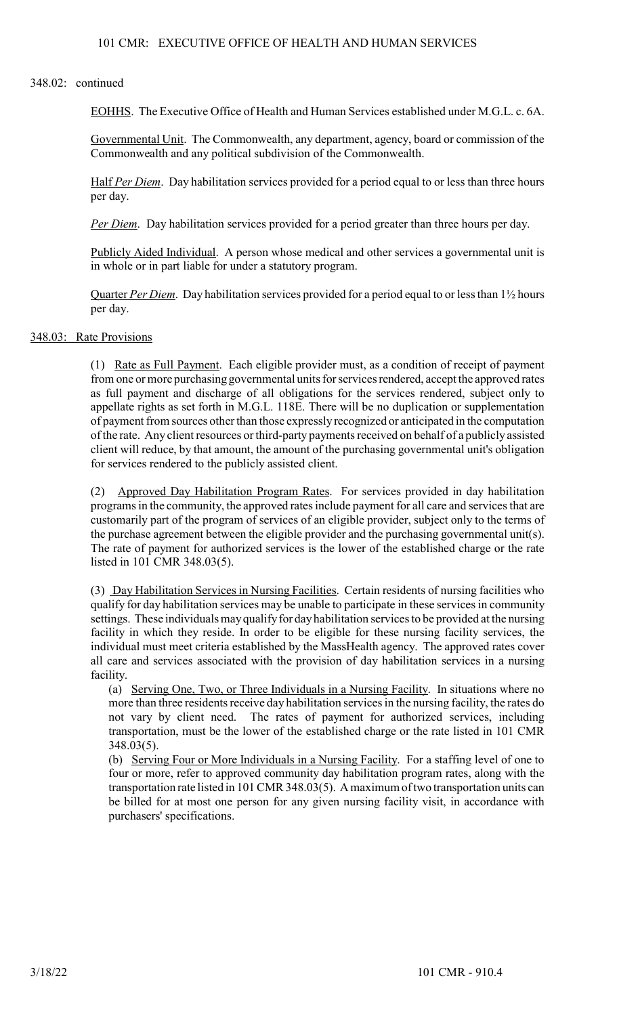#### 348.02: continued

EOHHS. The Executive Office of Health and Human Services established under M.G.L. c. 6A.

Governmental Unit. The Commonwealth, any department, agency, board or commission of the Commonwealth and any political subdivision of the Commonwealth.

Half Per Diem. Day habilitation services provided for a period equal to or less than three hours per day.

Per Diem. Day habilitation services provided for a period greater than three hours per day.

Publicly Aided Individual. A person whose medical and other services a governmental unit is in whole or in part liable for under a statutory program.

Quarter Per Diem. Day habilitation services provided for a period equal to or less than 1½ hours per day.

#### 348.03: Rate Provisions

(1) Rate as Full Payment. Each eligible provider must, as a condition of receipt of payment from one or more purchasing governmental units for services rendered, accept the approved rates as full payment and discharge of all obligations for the services rendered, subject only to appellate rights as set forth in M.G.L. 118E. There will be no duplication or supplementation of payment from sources other than those expressly recognized or anticipated in the computation of the rate. Any client resources or third-party payments received on behalf of a publicly assisted client will reduce, by that amount, the amount of the purchasing governmental unit's obligation for services rendered to the publicly assisted client.

(2) Approved Day Habilitation Program Rates. For services provided in day habilitation programs in the community, the approved rates include payment for all care and services that are customarily part of the program of services of an eligible provider, subject only to the terms of the purchase agreement between the eligible provider and the purchasing governmental unit(s). The rate of payment for authorized services is the lower of the established charge or the rate listed in 101 CMR 348.03(5).

(3) Day Habilitation Services in Nursing Facilities. Certain residents of nursing facilities who qualify for day habilitation services may be unable to participate in these services in community settings. These individuals may qualify for day habilitation services to be provided at the nursing facility in which they reside. In order to be eligible for these nursing facility services, the individual must meet criteria established by the MassHealth agency. The approved rates cover all care and services associated with the provision of day habilitation services in a nursing facility.

(a) Serving One, Two, or Three Individuals in a Nursing Facility. In situations where no more than three residents receive day habilitation services in the nursing facility, the rates do not vary by client need. The rates of payment for authorized services, including transportation, must be the lower of the established charge or the rate listed in 101 CMR 348.03(5).

(b) Serving Four or More Individuals in a Nursing Facility. For a staffing level of one to four or more, refer to approved community day habilitation program rates, along with the transportation rate listed in 101 CMR 348.03(5). A maximum of two transportation units can be billed for at most one person for any given nursing facility visit, in accordance with purchasers' specifications.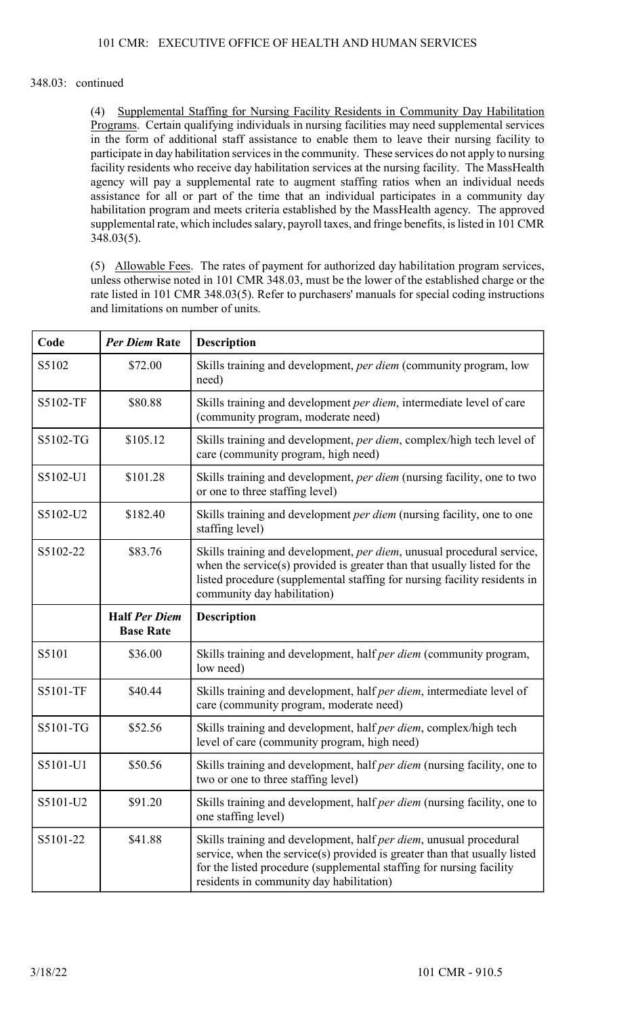# 348.03: continued

(4) Supplemental Staffing for Nursing Facility Residents in Community Day Habilitation Programs. Certain qualifying individuals in nursing facilities may need supplemental services in the form of additional staff assistance to enable them to leave their nursing facility to participate in day habilitation services in the community. These services do not apply to nursing facility residents who receive day habilitation services at the nursing facility. The MassHealth agency will pay a supplemental rate to augment staffing ratios when an individual needs assistance for all or part of the time that an individual participates in a community day habilitation program and meets criteria established by the MassHealth agency. The approved supplemental rate, which includes salary, payroll taxes, and fringe benefits, is listed in 101 CMR 348.03(5).

(5) Allowable Fees. The rates of payment for authorized day habilitation program services, unless otherwise noted in 101 CMR 348.03, must be the lower of the established charge or the rate listed in 101 CMR 348.03(5). Refer to purchasers' manuals for special coding instructions and limitations on number of units.

| Code     | <b>Per Diem Rate</b>                     | <b>Description</b>                                                                                                                                                                                                                                                          |
|----------|------------------------------------------|-----------------------------------------------------------------------------------------------------------------------------------------------------------------------------------------------------------------------------------------------------------------------------|
| S5102    | \$72.00                                  | Skills training and development, per diem (community program, low<br>need)                                                                                                                                                                                                  |
| S5102-TF | \$80.88                                  | Skills training and development per diem, intermediate level of care<br>(community program, moderate need)                                                                                                                                                                  |
| S5102-TG | \$105.12                                 | Skills training and development, per diem, complex/high tech level of<br>care (community program, high need)                                                                                                                                                                |
| S5102-U1 | \$101.28                                 | Skills training and development, per diem (nursing facility, one to two<br>or one to three staffing level)                                                                                                                                                                  |
| S5102-U2 | \$182.40                                 | Skills training and development per diem (nursing facility, one to one<br>staffing level)                                                                                                                                                                                   |
| S5102-22 | \$83.76                                  | Skills training and development, per diem, unusual procedural service,<br>when the service(s) provided is greater than that usually listed for the<br>listed procedure (supplemental staffing for nursing facility residents in<br>community day habilitation)              |
|          | <b>Half Per Diem</b><br><b>Base Rate</b> | <b>Description</b>                                                                                                                                                                                                                                                          |
| S5101    | \$36.00                                  | Skills training and development, half per diem (community program,<br>low need)                                                                                                                                                                                             |
| S5101-TF | \$40.44                                  | Skills training and development, half per diem, intermediate level of<br>care (community program, moderate need)                                                                                                                                                            |
| S5101-TG | \$52.56                                  | Skills training and development, half <i>per diem</i> , complex/high tech<br>level of care (community program, high need)                                                                                                                                                   |
| S5101-U1 | \$50.56                                  | Skills training and development, half <i>per diem</i> (nursing facility, one to<br>two or one to three staffing level)                                                                                                                                                      |
| S5101-U2 | \$91.20                                  | Skills training and development, half <i>per diem</i> (nursing facility, one to<br>one staffing level)                                                                                                                                                                      |
| S5101-22 | \$41.88                                  | Skills training and development, half <i>per diem</i> , unusual procedural<br>service, when the service(s) provided is greater than that usually listed<br>for the listed procedure (supplemental staffing for nursing facility<br>residents in community day habilitation) |